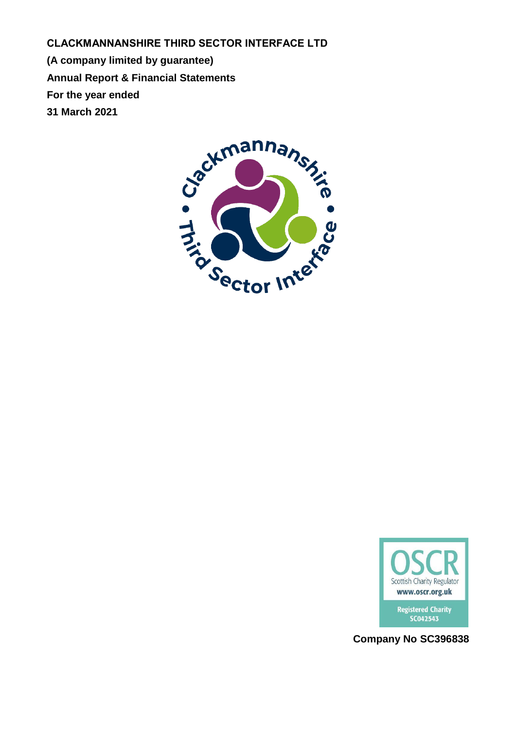**CLACKMANNANSHIRE THIRD SECTOR INTERFACE LTD (A company limited by guarantee) Annual Report & Financial Statements For the year ended 31 March 2021**





**Company No SC396838**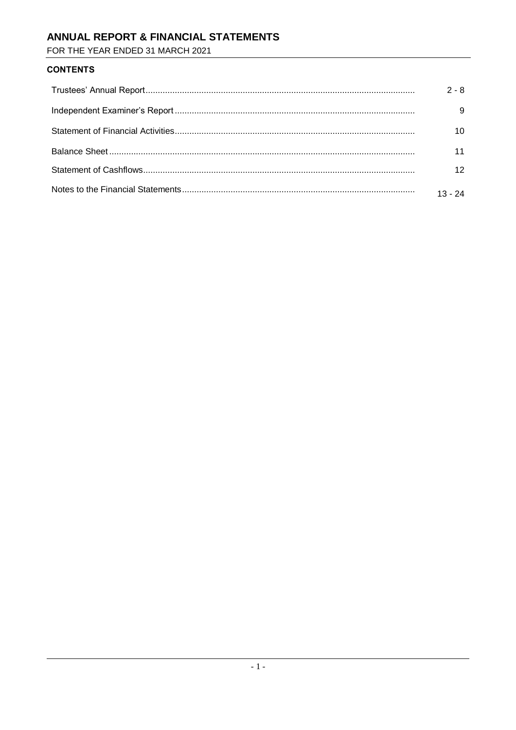# ANNUAL REPORT & FINANCIAL STATEMENTS

FOR THE YEAR ENDED 31 MARCH 2021

## **CONTENTS**

| $2 - 8$   |
|-----------|
|           |
|           |
|           |
|           |
| $13 - 24$ |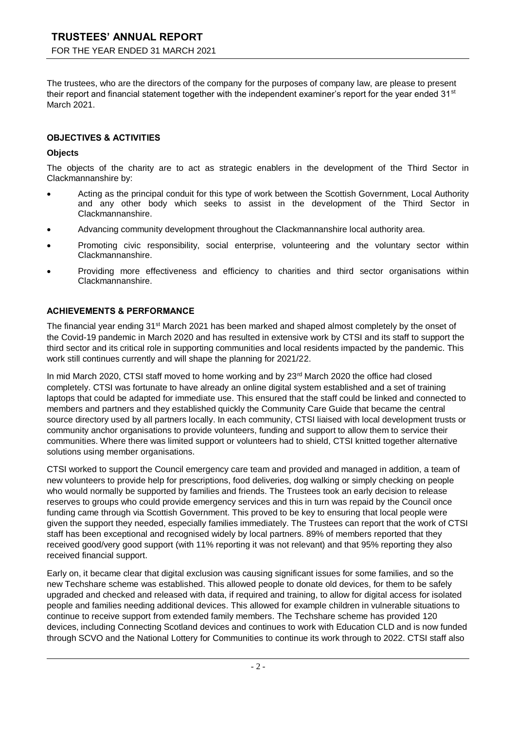The trustees, who are the directors of the company for the purposes of company law, are please to present their report and financial statement together with the independent examiner's report for the year ended 31<sup>st</sup> March 2021.

### **OBJECTIVES & ACTIVITIES**

### **Objects**

The objects of the charity are to act as strategic enablers in the development of the Third Sector in Clackmannanshire by:

- Acting as the principal conduit for this type of work between the Scottish Government, Local Authority and any other body which seeks to assist in the development of the Third Sector in Clackmannanshire.
- Advancing community development throughout the Clackmannanshire local authority area.
- Promoting civic responsibility, social enterprise, volunteering and the voluntary sector within Clackmannanshire.
- Providing more effectiveness and efficiency to charities and third sector organisations within Clackmannanshire.

### **ACHIEVEMENTS & PERFORMANCE**

The financial year ending 31<sup>st</sup> March 2021 has been marked and shaped almost completely by the onset of the Covid-19 pandemic in March 2020 and has resulted in extensive work by CTSI and its staff to support the third sector and its critical role in supporting communities and local residents impacted by the pandemic. This work still continues currently and will shape the planning for 2021/22.

In mid March 2020, CTSI staff moved to home working and by 23<sup>rd</sup> March 2020 the office had closed completely. CTSI was fortunate to have already an online digital system established and a set of training laptops that could be adapted for immediate use. This ensured that the staff could be linked and connected to members and partners and they established quickly the Community Care Guide that became the central source directory used by all partners locally. In each community, CTSI liaised with local development trusts or community anchor organisations to provide volunteers, funding and support to allow them to service their communities. Where there was limited support or volunteers had to shield, CTSI knitted together alternative solutions using member organisations.

CTSI worked to support the Council emergency care team and provided and managed in addition, a team of new volunteers to provide help for prescriptions, food deliveries, dog walking or simply checking on people who would normally be supported by families and friends. The Trustees took an early decision to release reserves to groups who could provide emergency services and this in turn was repaid by the Council once funding came through via Scottish Government. This proved to be key to ensuring that local people were given the support they needed, especially families immediately. The Trustees can report that the work of CTSI staff has been exceptional and recognised widely by local partners. 89% of members reported that they received good/very good support (with 11% reporting it was not relevant) and that 95% reporting they also received financial support.

Early on, it became clear that digital exclusion was causing significant issues for some families, and so the new Techshare scheme was established. This allowed people to donate old devices, for them to be safely upgraded and checked and released with data, if required and training, to allow for digital access for isolated people and families needing additional devices. This allowed for example children in vulnerable situations to continue to receive support from extended family members. The Techshare scheme has provided 120 devices, including Connecting Scotland devices and continues to work with Education CLD and is now funded through SCVO and the National Lottery for Communities to continue its work through to 2022. CTSI staff also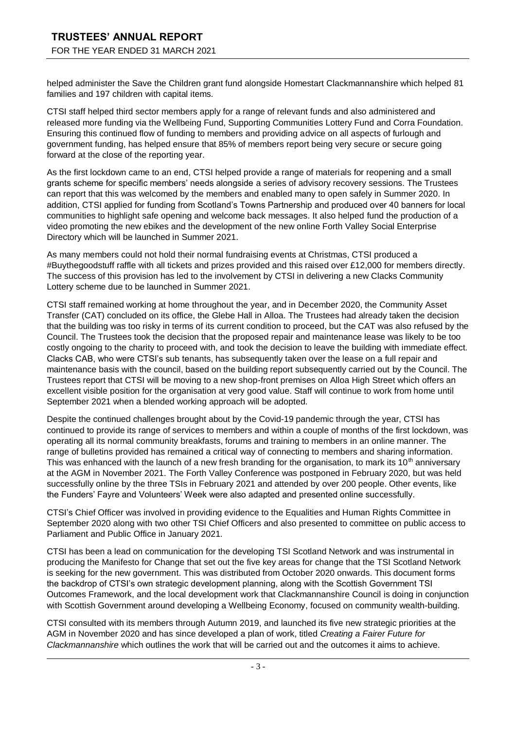helped administer the Save the Children grant fund alongside Homestart Clackmannanshire which helped 81 families and 197 children with capital items.

CTSI staff helped third sector members apply for a range of relevant funds and also administered and released more funding via the Wellbeing Fund, Supporting Communities Lottery Fund and Corra Foundation. Ensuring this continued flow of funding to members and providing advice on all aspects of furlough and government funding, has helped ensure that 85% of members report being very secure or secure going forward at the close of the reporting year.

As the first lockdown came to an end, CTSI helped provide a range of materials for reopening and a small grants scheme for specific members' needs alongside a series of advisory recovery sessions. The Trustees can report that this was welcomed by the members and enabled many to open safely in Summer 2020. In addition, CTSI applied for funding from Scotland's Towns Partnership and produced over 40 banners for local communities to highlight safe opening and welcome back messages. It also helped fund the production of a video promoting the new ebikes and the development of the new online Forth Valley Social Enterprise Directory which will be launched in Summer 2021.

As many members could not hold their normal fundraising events at Christmas, CTSI produced a #Buythegoodstuff raffle with all tickets and prizes provided and this raised over £12,000 for members directly. The success of this provision has led to the involvement by CTSI in delivering a new Clacks Community Lottery scheme due to be launched in Summer 2021.

CTSI staff remained working at home throughout the year, and in December 2020, the Community Asset Transfer (CAT) concluded on its office, the Glebe Hall in Alloa. The Trustees had already taken the decision that the building was too risky in terms of its current condition to proceed, but the CAT was also refused by the Council. The Trustees took the decision that the proposed repair and maintenance lease was likely to be too costly ongoing to the charity to proceed with, and took the decision to leave the building with immediate effect. Clacks CAB, who were CTSI's sub tenants, has subsequently taken over the lease on a full repair and maintenance basis with the council, based on the building report subsequently carried out by the Council. The Trustees report that CTSI will be moving to a new shop-front premises on Alloa High Street which offers an excellent visible position for the organisation at very good value. Staff will continue to work from home until September 2021 when a blended working approach will be adopted.

Despite the continued challenges brought about by the Covid-19 pandemic through the year, CTSI has continued to provide its range of services to members and within a couple of months of the first lockdown, was operating all its normal community breakfasts, forums and training to members in an online manner. The range of bulletins provided has remained a critical way of connecting to members and sharing information. This was enhanced with the launch of a new fresh branding for the organisation, to mark its 10<sup>th</sup> anniversary at the AGM in November 2021. The Forth Valley Conference was postponed in February 2020, but was held successfully online by the three TSIs in February 2021 and attended by over 200 people. Other events, like the Funders' Fayre and Volunteers' Week were also adapted and presented online successfully.

CTSI's Chief Officer was involved in providing evidence to the Equalities and Human Rights Committee in September 2020 along with two other TSI Chief Officers and also presented to committee on public access to Parliament and Public Office in January 2021.

CTSI has been a lead on communication for the developing TSI Scotland Network and was instrumental in producing the Manifesto for Change that set out the five key areas for change that the TSI Scotland Network is seeking for the new government. This was distributed from October 2020 onwards. This document forms the backdrop of CTSI's own strategic development planning, along with the Scottish Government TSI Outcomes Framework, and the local development work that Clackmannanshire Council is doing in conjunction with Scottish Government around developing a Wellbeing Economy, focused on community wealth-building.

CTSI consulted with its members through Autumn 2019, and launched its five new strategic priorities at the AGM in November 2020 and has since developed a plan of work, titled *Creating a Fairer Future for Clackmannanshire* which outlines the work that will be carried out and the outcomes it aims to achieve.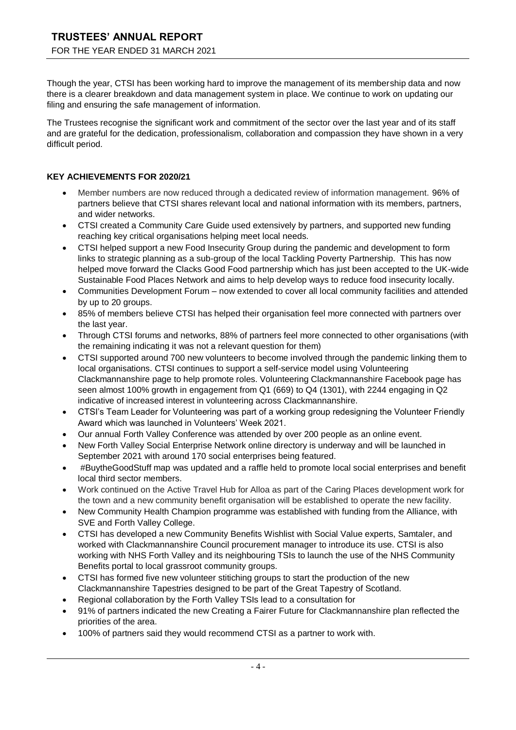Though the year, CTSI has been working hard to improve the management of its membership data and now there is a clearer breakdown and data management system in place. We continue to work on updating our filing and ensuring the safe management of information.

The Trustees recognise the significant work and commitment of the sector over the last year and of its staff and are grateful for the dedication, professionalism, collaboration and compassion they have shown in a very difficult period.

### **KEY ACHIEVEMENTS FOR 2020/21**

- Member numbers are now reduced through a dedicated review of information management. 96% of partners believe that CTSI shares relevant local and national information with its members, partners, and wider networks.
- CTSI created a Community Care Guide used extensively by partners, and supported new funding reaching key critical organisations helping meet local needs.
- CTSI helped support a new Food Insecurity Group during the pandemic and development to form links to strategic planning as a sub-group of the local Tackling Poverty Partnership. This has now helped move forward the Clacks Good Food partnership which has just been accepted to the UK-wide Sustainable Food Places Network and aims to help develop ways to reduce food insecurity locally.
- Communities Development Forum now extended to cover all local community facilities and attended by up to 20 groups.
- 85% of members believe CTSI has helped their organisation feel more connected with partners over the last year.
- Through CTSI forums and networks, 88% of partners feel more connected to other organisations (with the remaining indicating it was not a relevant question for them)
- CTSI supported around 700 new volunteers to become involved through the pandemic linking them to local organisations. CTSI continues to support a self-service model using Volunteering Clackmannanshire page to help promote roles. Volunteering Clackmannanshire Facebook page has seen almost 100% growth in engagement from Q1 (669) to Q4 (1301), with 2244 engaging in Q2 indicative of increased interest in volunteering across Clackmannanshire.
- CTSI's Team Leader for Volunteering was part of a working group redesigning the Volunteer Friendly Award which was launched in Volunteers' Week 2021.
- Our annual Forth Valley Conference was attended by over 200 people as an online event.
- New Forth Valley Social Enterprise Network online directory is underway and will be launched in September 2021 with around 170 social enterprises being featured.
- #BuytheGoodStuff map was updated and a raffle held to promote local social enterprises and benefit local third sector members.
- Work continued on the Active Travel Hub for Alloa as part of the Caring Places development work for the town and a new community benefit organisation will be established to operate the new facility.
- New Community Health Champion programme was established with funding from the Alliance, with SVE and Forth Valley College.
- CTSI has developed a new Community Benefits Wishlist with Social Value experts, Samtaler, and worked with Clackmannanshire Council procurement manager to introduce its use. CTSI is also working with NHS Forth Valley and its neighbouring TSIs to launch the use of the NHS Community Benefits portal to local grassroot community groups.
- CTSI has formed five new volunteer stitiching groups to start the production of the new Clackmannanshire Tapestries designed to be part of the Great Tapestry of Scotland.
- Regional collaboration by the Forth Valley TSIs lead to a consultation for
- 91% of partners indicated the new Creating a Fairer Future for Clackmannanshire plan reflected the priorities of the area.
- 100% of partners said they would recommend CTSI as a partner to work with.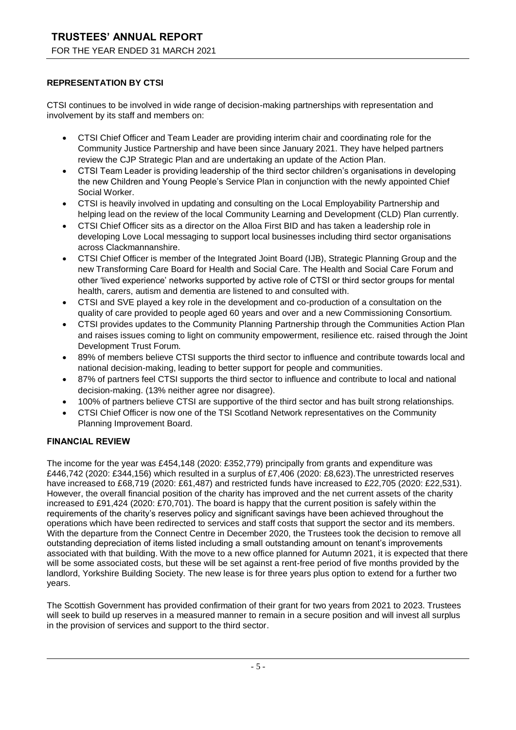## **REPRESENTATION BY CTSI**

CTSI continues to be involved in wide range of decision-making partnerships with representation and involvement by its staff and members on:

- CTSI Chief Officer and Team Leader are providing interim chair and coordinating role for the Community Justice Partnership and have been since January 2021. They have helped partners review the CJP Strategic Plan and are undertaking an update of the Action Plan.
- CTSI Team Leader is providing leadership of the third sector children's organisations in developing the new Children and Young People's Service Plan in conjunction with the newly appointed Chief Social Worker.
- CTSI is heavily involved in updating and consulting on the Local Employability Partnership and helping lead on the review of the local Community Learning and Development (CLD) Plan currently.
- CTSI Chief Officer sits as a director on the Alloa First BID and has taken a leadership role in developing Love Local messaging to support local businesses including third sector organisations across Clackmannanshire.
- CTSI Chief Officer is member of the Integrated Joint Board (IJB), Strategic Planning Group and the new Transforming Care Board for Health and Social Care. The Health and Social Care Forum and other 'lived experience' networks supported by active role of CTSI or third sector groups for mental health, carers, autism and dementia are listened to and consulted with.
- CTSI and SVE played a key role in the development and co-production of a consultation on the quality of care provided to people aged 60 years and over and a new Commissioning Consortium.
- CTSI provides updates to the Community Planning Partnership through the Communities Action Plan and raises issues coming to light on community empowerment, resilience etc. raised through the Joint Development Trust Forum.
- 89% of members believe CTSI supports the third sector to influence and contribute towards local and national decision-making, leading to better support for people and communities.
- 87% of partners feel CTSI supports the third sector to influence and contribute to local and national decision-making. (13% neither agree nor disagree).
- 100% of partners believe CTSI are supportive of the third sector and has built strong relationships.
- CTSI Chief Officer is now one of the TSI Scotland Network representatives on the Community Planning Improvement Board.

## **FINANCIAL REVIEW**

The income for the year was £454,148 (2020: £352,779) principally from grants and expenditure was £446,742 (2020: £344,156) which resulted in a surplus of £7,406 (2020: £8,623).The unrestricted reserves have increased to £68,719 (2020: £61,487) and restricted funds have increased to £22,705 (2020: £22,531). However, the overall financial position of the charity has improved and the net current assets of the charity increased to £91,424 (2020: £70,701). The board is happy that the current position is safely within the requirements of the charity's reserves policy and significant savings have been achieved throughout the operations which have been redirected to services and staff costs that support the sector and its members. With the departure from the Connect Centre in December 2020, the Trustees took the decision to remove all outstanding depreciation of items listed including a small outstanding amount on tenant's improvements associated with that building. With the move to a new office planned for Autumn 2021, it is expected that there will be some associated costs, but these will be set against a rent-free period of five months provided by the landlord, Yorkshire Building Society. The new lease is for three years plus option to extend for a further two years.

The Scottish Government has provided confirmation of their grant for two years from 2021 to 2023. Trustees will seek to build up reserves in a measured manner to remain in a secure position and will invest all surplus in the provision of services and support to the third sector.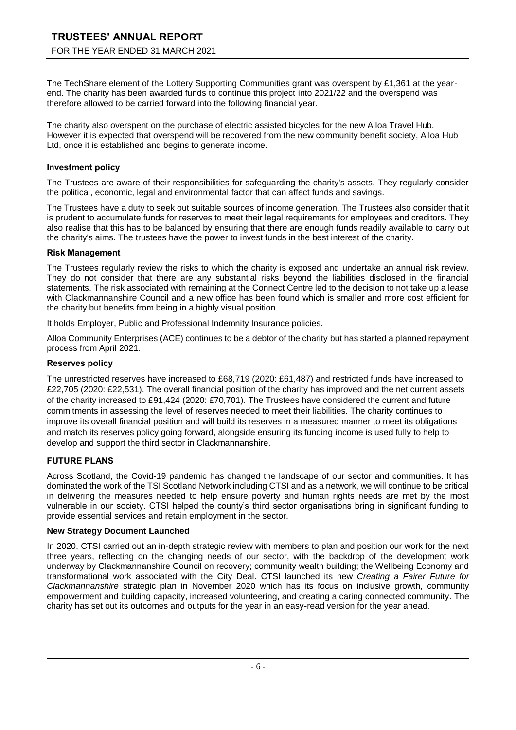The TechShare element of the Lottery Supporting Communities grant was overspent by £1,361 at the yearend. The charity has been awarded funds to continue this project into 2021/22 and the overspend was therefore allowed to be carried forward into the following financial year.

The charity also overspent on the purchase of electric assisted bicycles for the new Alloa Travel Hub. However it is expected that overspend will be recovered from the new community benefit society, Alloa Hub Ltd, once it is established and begins to generate income.

### **Investment policy**

The Trustees are aware of their responsibilities for safeguarding the charity's assets. They regularly consider the political, economic, legal and environmental factor that can affect funds and savings.

The Trustees have a duty to seek out suitable sources of income generation. The Trustees also consider that it is prudent to accumulate funds for reserves to meet their legal requirements for employees and creditors. They also realise that this has to be balanced by ensuring that there are enough funds readily available to carry out the charity's aims. The trustees have the power to invest funds in the best interest of the charity.

### **Risk Management**

The Trustees regularly review the risks to which the charity is exposed and undertake an annual risk review. They do not consider that there are any substantial risks beyond the liabilities disclosed in the financial statements. The risk associated with remaining at the Connect Centre led to the decision to not take up a lease with Clackmannanshire Council and a new office has been found which is smaller and more cost efficient for the charity but benefits from being in a highly visual position.

It holds Employer, Public and Professional Indemnity Insurance policies.

Alloa Community Enterprises (ACE) continues to be a debtor of the charity but has started a planned repayment process from April 2021.

### **Reserves policy**

The unrestricted reserves have increased to £68,719 (2020: £61,487) and restricted funds have increased to £22,705 (2020: £22,531). The overall financial position of the charity has improved and the net current assets of the charity increased to £91,424 (2020: £70,701). The Trustees have considered the current and future commitments in assessing the level of reserves needed to meet their liabilities. The charity continues to improve its overall financial position and will build its reserves in a measured manner to meet its obligations and match its reserves policy going forward, alongside ensuring its funding income is used fully to help to develop and support the third sector in Clackmannanshire.

### **FUTURE PLANS**

Across Scotland, the Covid-19 pandemic has changed the landscape of our sector and communities. It has dominated the work of the TSI Scotland Network including CTSI and as a network, we will continue to be critical in delivering the measures needed to help ensure poverty and human rights needs are met by the most vulnerable in our society. CTSI helped the county's third sector organisations bring in significant funding to provide essential services and retain employment in the sector.

### **New Strategy Document Launched**

In 2020, CTSI carried out an in-depth strategic review with members to plan and position our work for the next three years, reflecting on the changing needs of our sector, with the backdrop of the development work underway by Clackmannanshire Council on recovery; community wealth building; the Wellbeing Economy and transformational work associated with the City Deal. CTSI launched its new *Creating a Fairer Future for Clackmannanshire* strategic plan in November 2020 which has its focus on inclusive growth, community empowerment and building capacity, increased volunteering, and creating a caring connected community. The charity has set out its outcomes and outputs for the year in an easy-read version for the year ahead.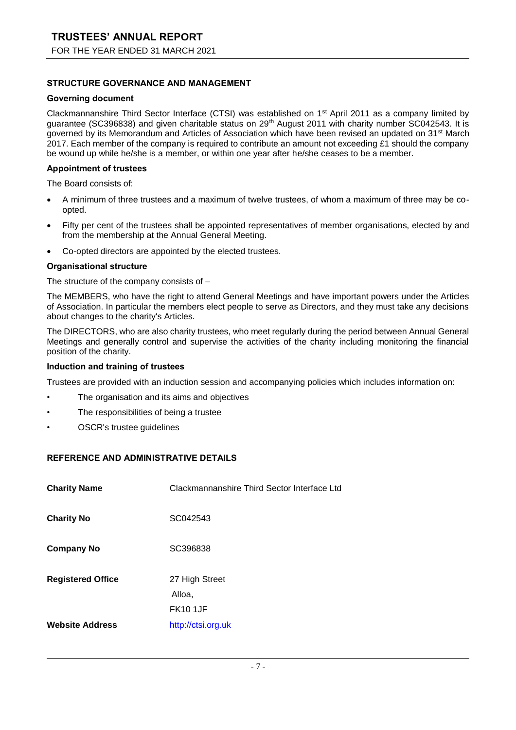### **STRUCTURE GOVERNANCE AND MANAGEMENT**

#### **Governing document**

Clackmannanshire Third Sector Interface (CTSI) was established on 1st April 2011 as a company limited by guarantee (SC396838) and given charitable status on 29<sup>th</sup> August 2011 with charity number SC042543. It is governed by its Memorandum and Articles of Association which have been revised an updated on 31<sup>st</sup> March 2017. Each member of the company is required to contribute an amount not exceeding £1 should the company be wound up while he/she is a member, or within one year after he/she ceases to be a member.

#### **Appointment of trustees**

The Board consists of:

- A minimum of three trustees and a maximum of twelve trustees, of whom a maximum of three may be coopted.
- Fifty per cent of the trustees shall be appointed representatives of member organisations, elected by and from the membership at the Annual General Meeting.
- Co-opted directors are appointed by the elected trustees.

#### **Organisational structure**

The structure of the company consists of –

The MEMBERS, who have the right to attend General Meetings and have important powers under the Articles of Association. In particular the members elect people to serve as Directors, and they must take any decisions about changes to the charity's Articles.

The DIRECTORS, who are also charity trustees, who meet regularly during the period between Annual General Meetings and generally control and supervise the activities of the charity including monitoring the financial position of the charity.

#### **Induction and training of trustees**

Trustees are provided with an induction session and accompanying policies which includes information on:

- The organisation and its aims and objectives
- The responsibilities of being a trustee
- OSCR's trustee guidelines

### **REFERENCE AND ADMINISTRATIVE DETAILS**

| <b>Charity Name</b>      | Clackmannanshire Third Sector Interface Ltd |
|--------------------------|---------------------------------------------|
| <b>Charity No</b>        | SC042543                                    |
| <b>Company No</b>        | SC396838                                    |
| <b>Registered Office</b> | 27 High Street<br>Alloa,<br><b>FK10 1JF</b> |
| <b>Website Address</b>   | http://ctsi.org.uk                          |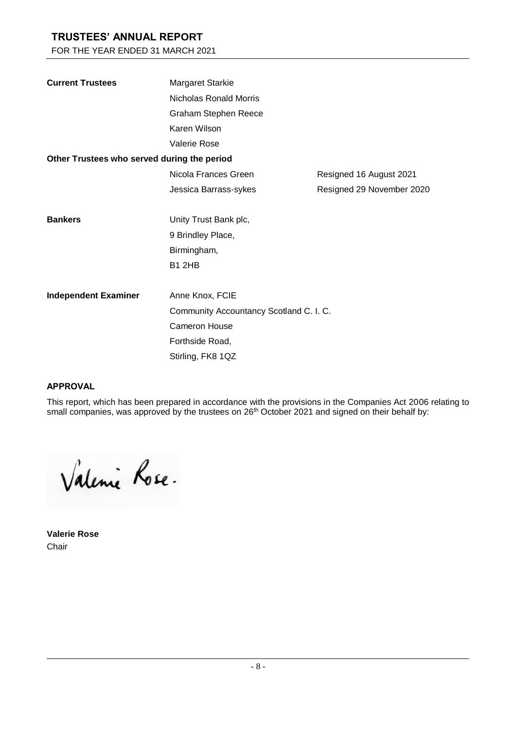## **TRUSTEES' ANNUAL REPORT**

FOR THE YEAR ENDED 31 MARCH 2021

| <b>Current Trustees</b>                     | Margaret Starkie                        |                           |  |  |  |  |
|---------------------------------------------|-----------------------------------------|---------------------------|--|--|--|--|
|                                             | Nicholas Ronald Morris                  |                           |  |  |  |  |
|                                             | Graham Stephen Reece                    |                           |  |  |  |  |
|                                             | Karen Wilson                            |                           |  |  |  |  |
|                                             | Valerie Rose                            |                           |  |  |  |  |
| Other Trustees who served during the period |                                         |                           |  |  |  |  |
|                                             | Nicola Frances Green                    | Resigned 16 August 2021   |  |  |  |  |
|                                             | Jessica Barrass-sykes                   | Resigned 29 November 2020 |  |  |  |  |
|                                             |                                         |                           |  |  |  |  |
| <b>Bankers</b>                              | Unity Trust Bank plc,                   |                           |  |  |  |  |
|                                             | 9 Brindley Place,                       |                           |  |  |  |  |
|                                             | Birmingham,                             |                           |  |  |  |  |
|                                             | <b>B1 2HB</b>                           |                           |  |  |  |  |
|                                             |                                         |                           |  |  |  |  |
| <b>Independent Examiner</b>                 | Anne Knox, FCIE                         |                           |  |  |  |  |
|                                             | Community Accountancy Scotland C. I. C. |                           |  |  |  |  |
|                                             | <b>Cameron House</b>                    |                           |  |  |  |  |
|                                             | Forthside Road,                         |                           |  |  |  |  |
|                                             | Stirling, FK8 1QZ                       |                           |  |  |  |  |

### **APPROVAL**

This report, which has been prepared in accordance with the provisions in the Companies Act 2006 relating to small companies, was approved by the trustees on 26<sup>th</sup> October 2021 and signed on their behalf by:

Valenie Rose.

**Valerie Rose** Chair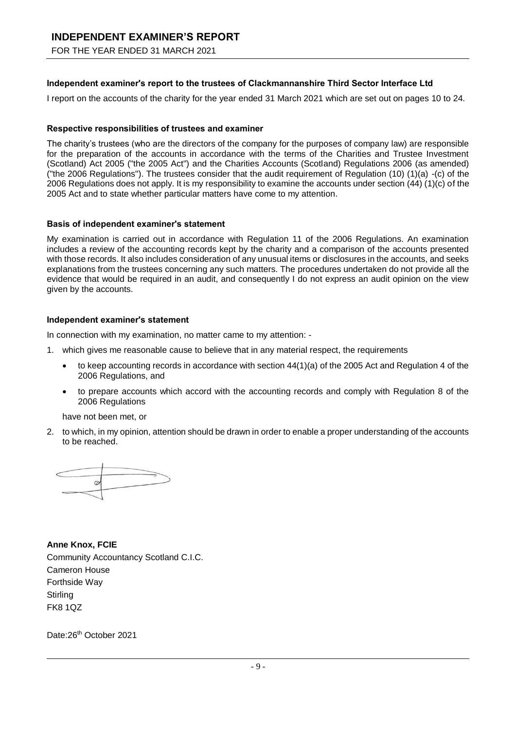# **INDEPENDENT EXAMINER'S REPORT**

FOR THE YEAR ENDED 31 MARCH 2021

### **Independent examiner's report to the trustees of Clackmannanshire Third Sector Interface Ltd**

I report on the accounts of the charity for the year ended 31 March 2021 which are set out on pages 10 to 24.

### **Respective responsibilities of trustees and examiner**

The charity's trustees (who are the directors of the company for the purposes of company law) are responsible for the preparation of the accounts in accordance with the terms of the Charities and Trustee Investment (Scotland) Act 2005 ("the 2005 Act") and the Charities Accounts (Scotland) Regulations 2006 (as amended) ("the 2006 Regulations"). The trustees consider that the audit requirement of Regulation (10) (1)(a) -(c) of the 2006 Regulations does not apply. It is my responsibility to examine the accounts under section (44) (1)(c) of the 2005 Act and to state whether particular matters have come to my attention.

### **Basis of independent examiner's statement**

My examination is carried out in accordance with Regulation 11 of the 2006 Regulations. An examination includes a review of the accounting records kept by the charity and a comparison of the accounts presented with those records. It also includes consideration of any unusual items or disclosures in the accounts, and seeks explanations from the trustees concerning any such matters. The procedures undertaken do not provide all the evidence that would be required in an audit, and consequently I do not express an audit opinion on the view given by the accounts.

#### **Independent examiner's statement**

In connection with my examination, no matter came to my attention: -

- 1. which gives me reasonable cause to believe that in any material respect, the requirements
	- to keep accounting records in accordance with section 44(1)(a) of the 2005 Act and Regulation 4 of the 2006 Regulations, and
	- to prepare accounts which accord with the accounting records and comply with Regulation 8 of the 2006 Regulations

have not been met, or

2. to which, in my opinion, attention should be drawn in order to enable a proper understanding of the accounts to be reached.

**Anne Knox, FCIE** Community Accountancy Scotland C.I.C. Cameron House Forthside Way **Stirling** FK8 1QZ

Date:26<sup>th</sup> October 2021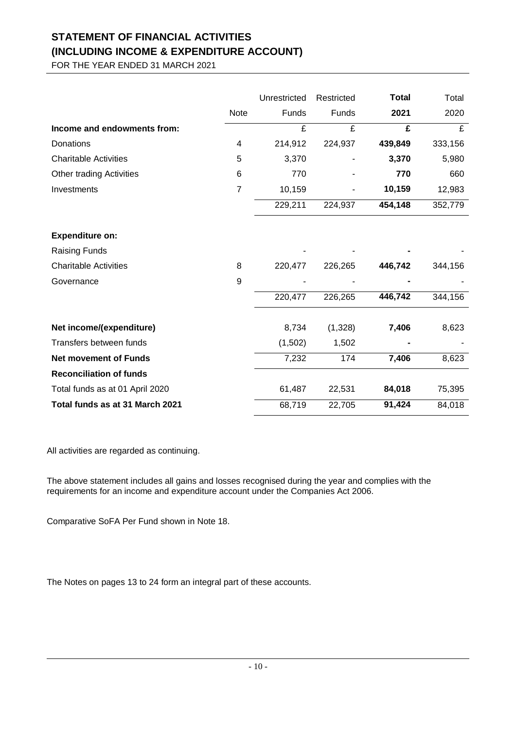# **STATEMENT OF FINANCIAL ACTIVITIES (INCLUDING INCOME & EXPENDITURE ACCOUNT)**

FOR THE YEAR ENDED 31 MARCH 2021

|                                 |                | Unrestricted | Restricted | <b>Total</b> | Total   |
|---------------------------------|----------------|--------------|------------|--------------|---------|
|                                 | Note           | Funds        | Funds      | 2021         | 2020    |
| Income and endowments from:     |                | £            | £          | £            | £       |
| Donations                       | 4              | 214,912      | 224,937    | 439,849      | 333,156 |
| <b>Charitable Activities</b>    | 5              | 3,370        |            | 3,370        | 5,980   |
| Other trading Activities        | 6              | 770          |            | 770          | 660     |
| Investments                     | $\overline{7}$ | 10,159       |            | 10,159       | 12,983  |
|                                 |                | 229,211      | 224,937    | 454,148      | 352,779 |
| <b>Expenditure on:</b>          |                |              |            |              |         |
| <b>Raising Funds</b>            |                |              |            |              |         |
| <b>Charitable Activities</b>    | 8              | 220,477      | 226,265    | 446,742      | 344,156 |
| Governance                      | 9              |              |            |              |         |
|                                 |                | 220,477      | 226,265    | 446,742      | 344,156 |
| Net income/(expenditure)        |                | 8,734        | (1,328)    | 7,406        | 8,623   |
| Transfers between funds         |                | (1,502)      | 1,502      |              |         |
| <b>Net movement of Funds</b>    |                | 7,232        | 174        | 7,406        | 8,623   |
| <b>Reconciliation of funds</b>  |                |              |            |              |         |
| Total funds as at 01 April 2020 |                | 61,487       | 22,531     | 84,018       | 75,395  |
| Total funds as at 31 March 2021 |                | 68,719       | 22,705     | 91,424       | 84,018  |

All activities are regarded as continuing.

The above statement includes all gains and losses recognised during the year and complies with the requirements for an income and expenditure account under the Companies Act 2006.

Comparative SoFA Per Fund shown in Note 18.

The Notes on pages 13 to 24 form an integral part of these accounts.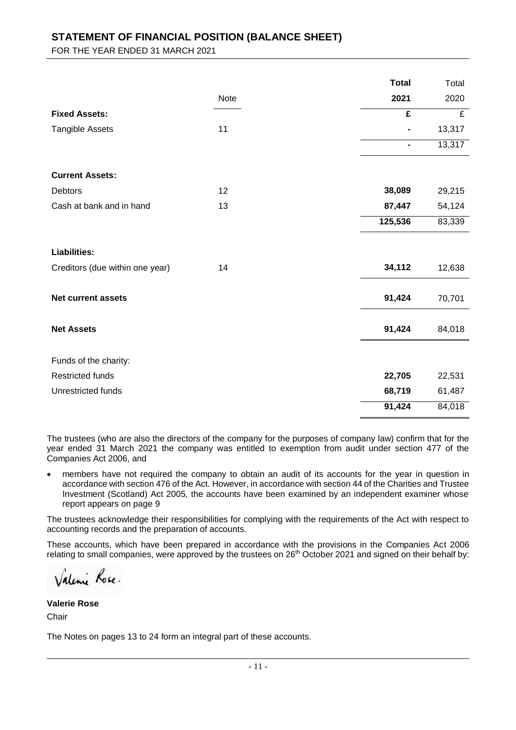## **STATEMENT OF FINANCIAL POSITION (BALANCE SHEET)**

FOR THE YEAR ENDED 31 MARCH 2021

|                                 |      | <b>Total</b>            | Total          |
|---------------------------------|------|-------------------------|----------------|
|                                 | Note | 2021                    | 2020           |
| <b>Fixed Assets:</b>            |      | $\overline{\mathbf{f}}$ | $\overline{f}$ |
| <b>Tangible Assets</b>          | 11   |                         | 13,317         |
|                                 |      | $\blacksquare$          | 13,317         |
| <b>Current Assets:</b>          |      |                         |                |
| Debtors                         | 12   | 38,089                  | 29,215         |
| Cash at bank and in hand        | 13   | 87,447                  | 54,124         |
|                                 |      | 125,536                 | 83,339         |
| <b>Liabilities:</b>             |      |                         |                |
| Creditors (due within one year) | 14   | 34,112                  | 12,638         |
| <b>Net current assets</b>       |      | 91,424                  | 70,701         |
| <b>Net Assets</b>               |      | 91,424                  | 84,018         |
| Funds of the charity:           |      |                         |                |
| <b>Restricted funds</b>         |      | 22,705                  | 22,531         |
| Unrestricted funds              |      | 68,719                  | 61,487         |
|                                 |      | 91,424                  | 84,018         |

The trustees (who are also the directors of the company for the purposes of company law) confirm that for the year ended 31 March 2021 the company was entitled to exemption from audit under section 477 of the Companies Act 2006, and

 members have not required the company to obtain an audit of its accounts for the year in question in accordance with section 476 of the Act. However, in accordance with section 44 of the Charities and Trustee Investment (Scotland) Act 2005, the accounts have been examined by an independent examiner whose report appears on page 9

The trustees acknowledge their responsibilities for complying with the requirements of the Act with respect to accounting records and the preparation of accounts.

These accounts, which have been prepared in accordance with the provisions in the Companies Act 2006 relating to small companies, were approved by the trustees on 26<sup>th</sup> October 2021 and signed on their behalf by:

Valenie Rose.

**Valerie Rose** Chair

The Notes on pages 13 to 24 form an integral part of these accounts.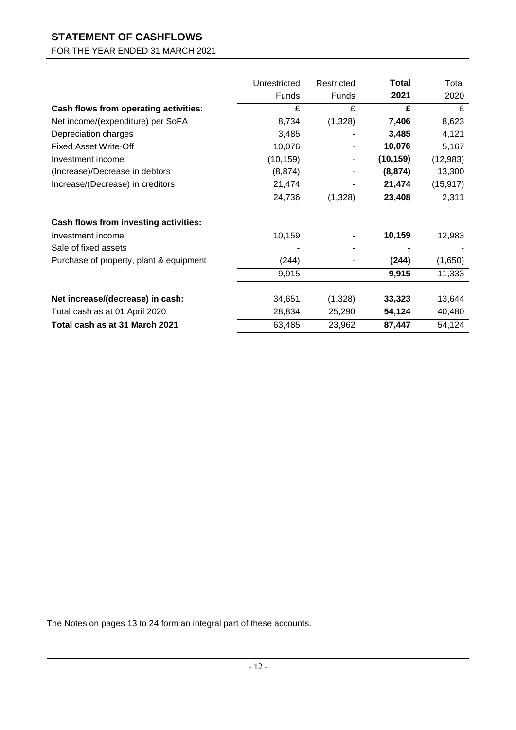# **STATEMENT OF CASHFLOWS**

FOR THE YEAR ENDED 31 MARCH 2021

|                                         | Unrestricted | Restricted   | <b>Total</b> | Total     |
|-----------------------------------------|--------------|--------------|--------------|-----------|
|                                         | Funds        | <b>Funds</b> | 2021         | 2020      |
| Cash flows from operating activities:   | £            | £            | £            | £         |
| Net income/(expenditure) per SoFA       | 8,734        | (1,328)      | 7,406        | 8,623     |
| Depreciation charges                    | 3,485        |              | 3,485        | 4,121     |
| <b>Fixed Asset Write-Off</b>            | 10,076       |              | 10,076       | 5,167     |
| Investment income                       | (10, 159)    |              | (10, 159)    | (12, 983) |
| (Increase)/Decrease in debtors          | (8, 874)     |              | (8, 874)     | 13,300    |
| Increase/(Decrease) in creditors        | 21,474       |              | 21,474       | (15, 917) |
|                                         | 24,736       | (1,328)      | 23,408       | 2,311     |
| Cash flows from investing activities:   |              |              |              |           |
| Investment income                       | 10,159       |              | 10,159       | 12,983    |
| Sale of fixed assets                    |              |              |              |           |
| Purchase of property, plant & equipment | (244)        |              | (244)        | (1,650)   |
|                                         | 9,915        | ٠            | 9,915        | 11,333    |
|                                         |              |              |              |           |
| Net increase/(decrease) in cash:        | 34,651       | (1,328)      | 33,323       | 13,644    |
| Total cash as at 01 April 2020          | 28,834       | 25,290       | 54,124       | 40,480    |
| Total cash as at 31 March 2021          | 63,485       | 23,962       | 87,447       | 54,124    |

The Notes on pages 13 to 24 form an integral part of these accounts.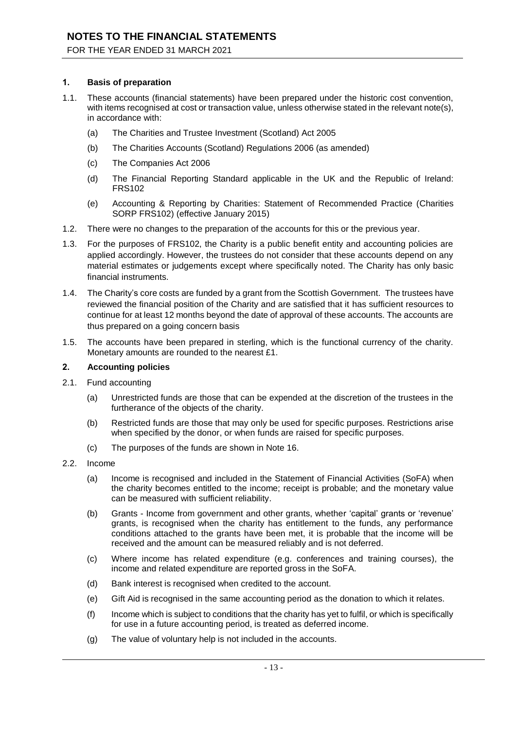### **1. Basis of preparation**

- 1.1. These accounts (financial statements) have been prepared under the historic cost convention, with items recognised at cost or transaction value, unless otherwise stated in the relevant note(s), in accordance with:
	- (a) The Charities and Trustee Investment (Scotland) Act 2005
	- (b) The Charities Accounts (Scotland) Regulations 2006 (as amended)
	- (c) The Companies Act 2006
	- (d) The Financial Reporting Standard applicable in the UK and the Republic of Ireland: FRS102
	- (e) Accounting & Reporting by Charities: Statement of Recommended Practice (Charities SORP FRS102) (effective January 2015)
- 1.2. There were no changes to the preparation of the accounts for this or the previous year.
- 1.3. For the purposes of FRS102, the Charity is a public benefit entity and accounting policies are applied accordingly. However, the trustees do not consider that these accounts depend on any material estimates or judgements except where specifically noted. The Charity has only basic financial instruments.
- 1.4. The Charity's core costs are funded by a grant from the Scottish Government. The trustees have reviewed the financial position of the Charity and are satisfied that it has sufficient resources to continue for at least 12 months beyond the date of approval of these accounts. The accounts are thus prepared on a going concern basis
- 1.5. The accounts have been prepared in sterling, which is the functional currency of the charity. Monetary amounts are rounded to the nearest £1.

### **2. Accounting policies**

- 2.1. Fund accounting
	- (a) Unrestricted funds are those that can be expended at the discretion of the trustees in the furtherance of the objects of the charity.
	- (b) Restricted funds are those that may only be used for specific purposes. Restrictions arise when specified by the donor, or when funds are raised for specific purposes.
	- (c) The purposes of the funds are shown in Note 16.
- 2.2. Income
	- (a) Income is recognised and included in the Statement of Financial Activities (SoFA) when the charity becomes entitled to the income; receipt is probable; and the monetary value can be measured with sufficient reliability.
	- (b) Grants Income from government and other grants, whether 'capital' grants or 'revenue' grants, is recognised when the charity has entitlement to the funds, any performance conditions attached to the grants have been met, it is probable that the income will be received and the amount can be measured reliably and is not deferred.
	- (c) Where income has related expenditure (e.g. conferences and training courses), the income and related expenditure are reported gross in the SoFA.
	- (d) Bank interest is recognised when credited to the account.
	- (e) Gift Aid is recognised in the same accounting period as the donation to which it relates.
	- (f) Income which is subject to conditions that the charity has yet to fulfil, or which is specifically for use in a future accounting period, is treated as deferred income.
	- (g) The value of voluntary help is not included in the accounts.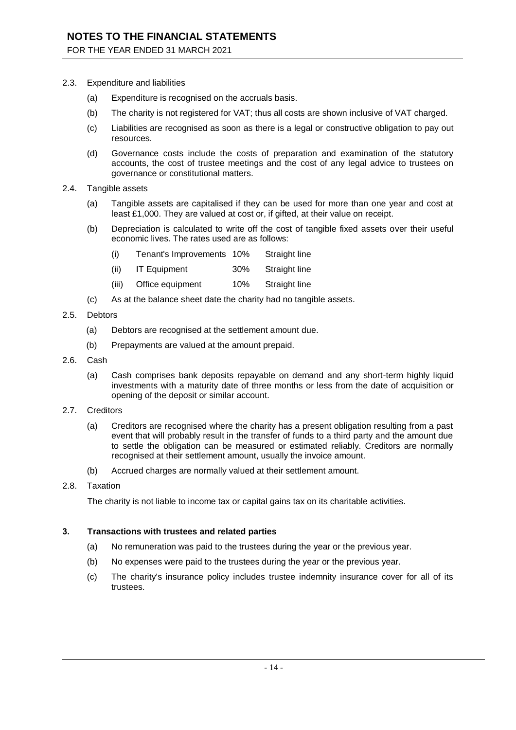FOR THE YEAR ENDED 31 MARCH 2021

- 2.3. Expenditure and liabilities
	- (a) Expenditure is recognised on the accruals basis.
	- (b) The charity is not registered for VAT; thus all costs are shown inclusive of VAT charged.
	- (c) Liabilities are recognised as soon as there is a legal or constructive obligation to pay out resources.
	- (d) Governance costs include the costs of preparation and examination of the statutory accounts, the cost of trustee meetings and the cost of any legal advice to trustees on governance or constitutional matters.
- 2.4. Tangible assets
	- (a) Tangible assets are capitalised if they can be used for more than one year and cost at least £1,000. They are valued at cost or, if gifted, at their value on receipt.
	- (b) Depreciation is calculated to write off the cost of tangible fixed assets over their useful economic lives. The rates used are as follows:
		- (i) Tenant's Improvements 10% Straight line
		- (ii) IT Equipment 30% Straight line
		- (iii) Office equipment 10% Straight line
	- (c) As at the balance sheet date the charity had no tangible assets.
- 2.5. Debtors
	- (a) Debtors are recognised at the settlement amount due.
	- (b) Prepayments are valued at the amount prepaid.
- 2.6. Cash
	- (a) Cash comprises bank deposits repayable on demand and any short-term highly liquid investments with a maturity date of three months or less from the date of acquisition or opening of the deposit or similar account.
- 2.7. Creditors
	- (a) Creditors are recognised where the charity has a present obligation resulting from a past event that will probably result in the transfer of funds to a third party and the amount due to settle the obligation can be measured or estimated reliably. Creditors are normally recognised at their settlement amount, usually the invoice amount.
	- (b) Accrued charges are normally valued at their settlement amount.
- 2.8. Taxation

The charity is not liable to income tax or capital gains tax on its charitable activities.

#### **3. Transactions with trustees and related parties**

- (a) No remuneration was paid to the trustees during the year or the previous year.
- (b) No expenses were paid to the trustees during the year or the previous year.
- (c) The charity's insurance policy includes trustee indemnity insurance cover for all of its trustees.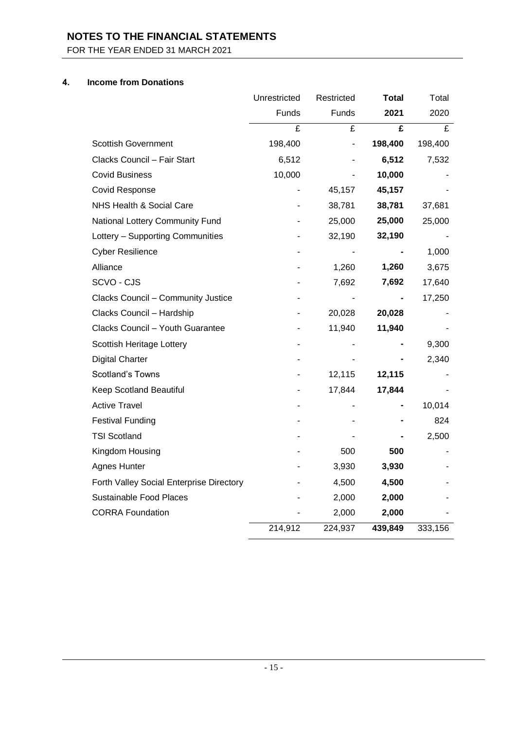FOR THE YEAR ENDED 31 MARCH 2021

## **4. Income from Donations**

|                                          | Unrestricted | Restricted | Total   | Total   |
|------------------------------------------|--------------|------------|---------|---------|
|                                          | Funds        | Funds      | 2021    | 2020    |
|                                          | £            | £          | £       | £       |
| <b>Scottish Government</b>               | 198,400      |            | 198,400 | 198,400 |
| Clacks Council - Fair Start              | 6,512        |            | 6,512   | 7,532   |
| <b>Covid Business</b>                    | 10,000       |            | 10,000  |         |
| <b>Covid Response</b>                    |              | 45,157     | 45,157  |         |
| NHS Health & Social Care                 |              | 38,781     | 38,781  | 37,681  |
| National Lottery Community Fund          |              | 25,000     | 25,000  | 25,000  |
| Lottery - Supporting Communities         |              | 32,190     | 32,190  |         |
| <b>Cyber Resilience</b>                  |              |            |         | 1,000   |
| Alliance                                 |              | 1,260      | 1,260   | 3,675   |
| SCVO - CJS                               |              | 7,692      | 7,692   | 17,640  |
| Clacks Council - Community Justice       |              |            |         | 17,250  |
| Clacks Council - Hardship                |              | 20,028     | 20,028  |         |
| Clacks Council - Youth Guarantee         |              | 11,940     | 11,940  |         |
| Scottish Heritage Lottery                |              |            |         | 9,300   |
| <b>Digital Charter</b>                   |              |            |         | 2,340   |
| <b>Scotland's Towns</b>                  |              | 12,115     | 12,115  |         |
| Keep Scotland Beautiful                  |              | 17,844     | 17,844  |         |
| <b>Active Travel</b>                     |              |            |         | 10,014  |
| <b>Festival Funding</b>                  |              |            |         | 824     |
| <b>TSI Scotland</b>                      |              |            |         | 2,500   |
| Kingdom Housing                          |              | 500        | 500     |         |
| <b>Agnes Hunter</b>                      |              | 3,930      | 3,930   |         |
| Forth Valley Social Enterprise Directory |              | 4,500      | 4,500   |         |
| <b>Sustainable Food Places</b>           |              | 2,000      | 2,000   |         |
| <b>CORRA Foundation</b>                  |              | 2,000      | 2,000   |         |
|                                          | 214,912      | 224,937    | 439,849 | 333,156 |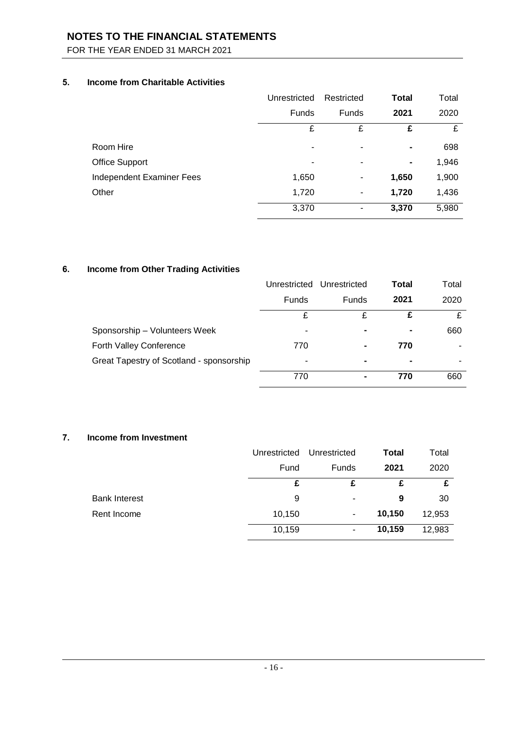FOR THE YEAR ENDED 31 MARCH 2021

## **5. Income from Charitable Activities**

|                           | Unrestricted | Restricted | <b>Total</b> | Total |
|---------------------------|--------------|------------|--------------|-------|
|                           | <b>Funds</b> | Funds      | 2021         | 2020  |
|                           | £            | £          | £            | £     |
| Room Hire                 | ٠            | ۰          | ۰            | 698   |
| <b>Office Support</b>     | ۰            |            |              | 1,946 |
| Independent Examiner Fees | 1,650        | ۰          | 1,650        | 1,900 |
| Other                     | 1,720        | ۰          | 1,720        | 1,436 |
|                           | 3,370        | ۰          | 3,370        | 5,980 |

## **6. Income from Other Trading Activities**

|                                          | Unrestricted | Unrestricted             | Total | Total |
|------------------------------------------|--------------|--------------------------|-------|-------|
|                                          | Funds        | Funds                    | 2021  | 2020  |
|                                          | £            | £                        |       | £     |
| Sponsorship - Volunteers Week            | -            | $\blacksquare$           |       | 660   |
| Forth Valley Conference                  | 770          | $\blacksquare$           | 770   | -     |
| Great Tapestry of Scotland - sponsorship | -            | $\overline{\phantom{0}}$ |       | ۰     |
|                                          | 770          |                          | 770   | 660   |

## **7. Income from Investment**

|                      | Unrestricted | Unrestricted | <b>Total</b> | Total  |
|----------------------|--------------|--------------|--------------|--------|
|                      | Fund         | Funds        | 2021         | 2020   |
|                      | £            | £            | £            | £      |
| <b>Bank Interest</b> | 9            | ٠            | 9            | 30     |
| Rent Income          | 10,150       | ۰            | 10,150       | 12,953 |
|                      | 10,159       | ۰            | 10,159       | 12,983 |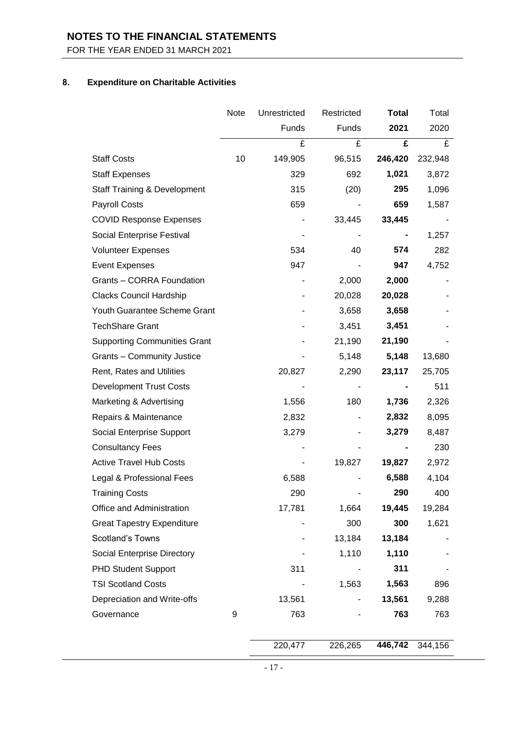FOR THE YEAR ENDED 31 MARCH 2021

## **8. Expenditure on Charitable Activities**

|                                         | Note | Unrestricted | Restricted | <b>Total</b> | Total   |
|-----------------------------------------|------|--------------|------------|--------------|---------|
|                                         |      | Funds        | Funds      | 2021         | 2020    |
|                                         |      | £            | £          | £            | £       |
| <b>Staff Costs</b>                      | 10   | 149,905      | 96,515     | 246,420      | 232,948 |
| <b>Staff Expenses</b>                   |      | 329          | 692        | 1,021        | 3,872   |
| <b>Staff Training &amp; Development</b> |      | 315          | (20)       | 295          | 1,096   |
| <b>Payroll Costs</b>                    |      | 659          |            | 659          | 1,587   |
| <b>COVID Response Expenses</b>          |      |              | 33,445     | 33,445       |         |
| Social Enterprise Festival              |      |              |            |              | 1,257   |
| <b>Volunteer Expenses</b>               |      | 534          | 40         | 574          | 282     |
| <b>Event Expenses</b>                   |      | 947          |            | 947          | 4,752   |
| Grants - CORRA Foundation               |      |              | 2,000      | 2,000        |         |
| Clacks Council Hardship                 |      |              | 20,028     | 20,028       |         |
| Youth Guarantee Scheme Grant            |      |              | 3,658      | 3,658        |         |
| <b>TechShare Grant</b>                  |      |              | 3,451      | 3,451        |         |
| <b>Supporting Communities Grant</b>     |      |              | 21,190     | 21,190       |         |
| <b>Grants - Community Justice</b>       |      |              | 5,148      | 5,148        | 13,680  |
| Rent, Rates and Utilities               |      | 20,827       | 2,290      | 23,117       | 25,705  |
| <b>Development Trust Costs</b>          |      |              |            |              | 511     |
| Marketing & Advertising                 |      | 1,556        | 180        | 1,736        | 2,326   |
| Repairs & Maintenance                   |      | 2,832        |            | 2,832        | 8,095   |
| Social Enterprise Support               |      | 3,279        |            | 3,279        | 8,487   |
| <b>Consultancy Fees</b>                 |      |              |            |              | 230     |
| <b>Active Travel Hub Costs</b>          |      |              | 19,827     | 19,827       | 2,972   |
| Legal & Professional Fees               |      | 6,588        |            | 6,588        | 4,104   |
| <b>Training Costs</b>                   |      | 290          |            | 290          | 400     |
| Office and Administration               |      | 17,781       | 1,664      | 19,445       | 19,284  |
| <b>Great Tapestry Expenditure</b>       |      |              | 300        | 300          | 1,621   |
| <b>Scotland's Towns</b>                 |      |              | 13,184     | 13,184       |         |
| Social Enterprise Directory             |      |              | 1,110      | 1,110        |         |
| <b>PHD Student Support</b>              |      | 311          |            | 311          |         |
| <b>TSI Scotland Costs</b>               |      |              | 1,563      | 1,563        | 896     |
| Depreciation and Write-offs             |      | 13,561       |            | 13,561       | 9,288   |
| Governance                              | 9    | 763          |            | 763          | 763     |
|                                         |      |              |            |              |         |
|                                         |      | 220,477      | 226,265    | 446,742      | 344,156 |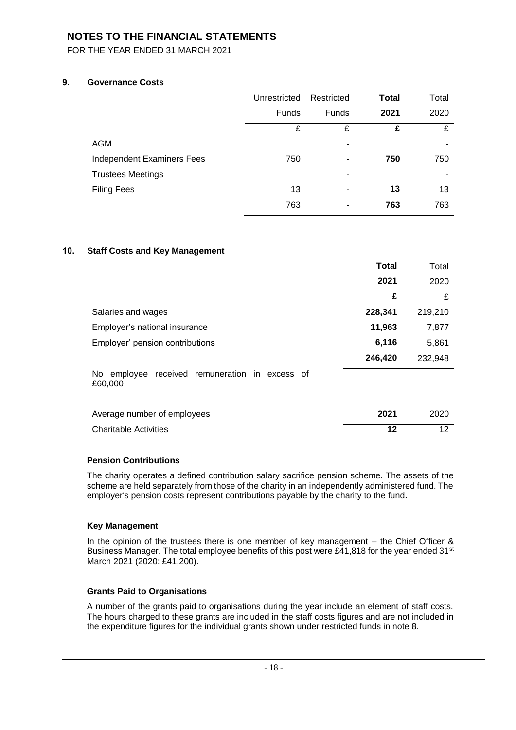FOR THE YEAR ENDED 31 MARCH 2021

### **9. Governance Costs**

|                            | Unrestricted | Restricted   | <b>Total</b> | Total |
|----------------------------|--------------|--------------|--------------|-------|
|                            | Funds        | <b>Funds</b> | 2021         | 2020  |
|                            | £            | £            | £            | £     |
| <b>AGM</b>                 |              | -            |              |       |
| Independent Examiners Fees | 750          | ٠            | 750          | 750   |
| <b>Trustees Meetings</b>   |              | ۰            |              |       |
| <b>Filing Fees</b>         | 13           |              | 13           | 13    |
|                            | 763          |              | 763          | 763   |

### **10. Staff Costs and Key Management**

| <b>Total</b>                                                 | Total                   |
|--------------------------------------------------------------|-------------------------|
| 2021                                                         | 2020                    |
|                                                              | £<br>£                  |
| 228,341<br>Salaries and wages                                | 219,210                 |
| 11,963<br>Employer's national insurance                      | 7,877                   |
| 6,116<br>Employer' pension contributions                     | 5,861                   |
| 246,420                                                      | 232,948                 |
| No employee<br>received remuneration in excess of<br>£60,000 |                         |
| 2021<br>Average number of employees                          | 2020                    |
| <b>Charitable Activities</b>                                 | 12<br>$12 \overline{ }$ |

### **Pension Contributions**

The charity operates a defined contribution salary sacrifice pension scheme. The assets of the scheme are held separately from those of the charity in an independently administered fund. The employer's pension costs represent contributions payable by the charity to the fund**.**

### **Key Management**

In the opinion of the trustees there is one member of key management – the Chief Officer & Business Manager. The total employee benefits of this post were £41,818 for the year ended 31<sup>st</sup> March 2021 (2020: £41,200).

### **Grants Paid to Organisations**

A number of the grants paid to organisations during the year include an element of staff costs. The hours charged to these grants are included in the staff costs figures and are not included in the expenditure figures for the individual grants shown under restricted funds in note 8.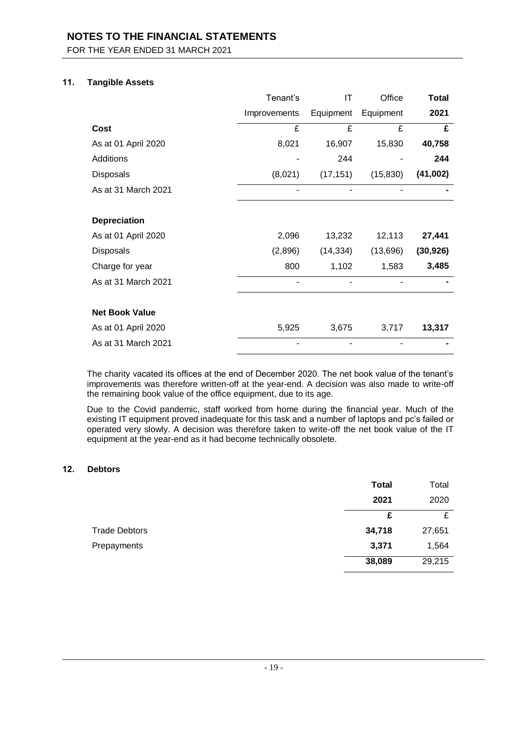FOR THE YEAR ENDED 31 MARCH 2021

### **11. Tangible Assets**

|                       | Tenant's     | IT        | Office    | <b>Total</b> |
|-----------------------|--------------|-----------|-----------|--------------|
|                       | Improvements | Equipment | Equipment | 2021         |
| <b>Cost</b>           | £            | £         | £         | £            |
| As at 01 April 2020   | 8,021        | 16,907    | 15,830    | 40,758       |
| Additions             |              | 244       |           | 244          |
| <b>Disposals</b>      | (8,021)      | (17, 151) | (15, 830) | (41,002)     |
| As at 31 March 2021   |              |           |           |              |
|                       |              |           |           |              |
| <b>Depreciation</b>   |              |           |           |              |
| As at 01 April 2020   | 2,096        | 13,232    | 12,113    | 27,441       |
| Disposals             | (2,896)      | (14, 334) | (13,696)  | (30, 926)    |
| Charge for year       | 800          | 1,102     | 1,583     | 3,485        |
| As at 31 March 2021   | ۰            | ۰         |           |              |
|                       |              |           |           |              |
| <b>Net Book Value</b> |              |           |           |              |
| As at 01 April 2020   | 5,925        | 3,675     | 3,717     | 13,317       |
| As at 31 March 2021   |              |           |           |              |

The charity vacated its offices at the end of December 2020. The net book value of the tenant's improvements was therefore written-off at the year-end. A decision was also made to write-off the remaining book value of the office equipment, due to its age.

Due to the Covid pandemic, staff worked from home during the financial year. Much of the existing IT equipment proved inadequate for this task and a number of laptops and pc's failed or operated very slowly. A decision was therefore taken to write-off the net book value of the IT equipment at the year-end as it had become technically obsolete.

### **12. Debtors**

|                      | <b>Total</b> | Total  |
|----------------------|--------------|--------|
|                      | 2021         | 2020   |
|                      | £            | £      |
| <b>Trade Debtors</b> | 34,718       | 27,651 |
| Prepayments          | 3,371        | 1,564  |
|                      | 38,089       | 29,215 |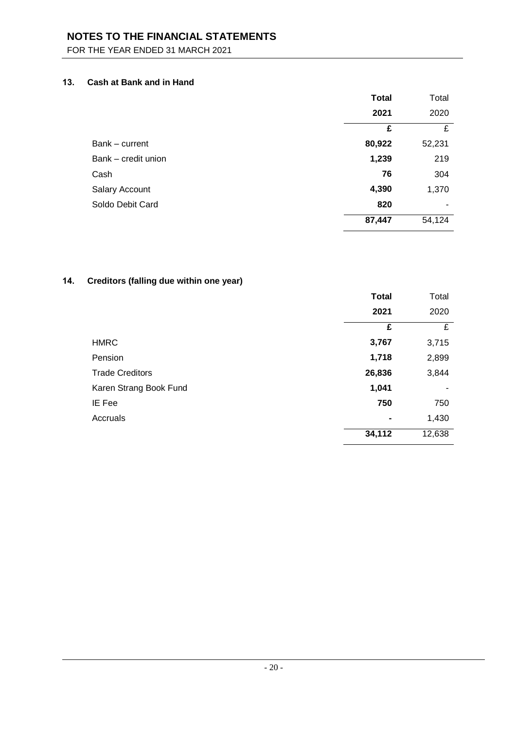FOR THE YEAR ENDED 31 MARCH 2021

## **13. Cash at Bank and in Hand**

|                     | <b>Total</b> | Total  |
|---------------------|--------------|--------|
|                     | 2021         | 2020   |
|                     | £            | £      |
| Bank - current      | 80,922       | 52,231 |
| Bank - credit union | 1,239        | 219    |
| Cash                | 76           | 304    |
| Salary Account      | 4,390        | 1,370  |
| Soldo Debit Card    | 820          | ۰      |
|                     | 87,447       | 54,124 |

## **14. Creditors (falling due within one year)**

|                        | <b>Total</b>   | Total  |
|------------------------|----------------|--------|
|                        | 2021           | 2020   |
|                        | £              | £      |
| <b>HMRC</b>            | 3,767          | 3,715  |
| Pension                | 1,718          | 2,899  |
| <b>Trade Creditors</b> | 26,836         | 3,844  |
| Karen Strang Book Fund | 1,041          | ۰      |
| IE Fee                 | 750            | 750    |
| Accruals               | $\blacksquare$ | 1,430  |
|                        | 34,112         | 12,638 |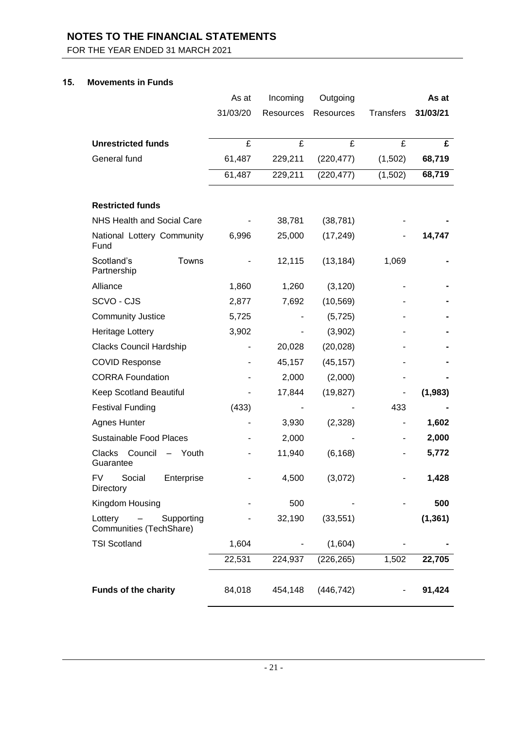FOR THE YEAR ENDED 31 MARCH 2021

## **15. Movements in Funds**

|                                                                  | As at    | Incoming         | Outgoing   |                  | As at    |
|------------------------------------------------------------------|----------|------------------|------------|------------------|----------|
|                                                                  | 31/03/20 | <b>Resources</b> | Resources  | <b>Transfers</b> | 31/03/21 |
|                                                                  |          |                  |            |                  |          |
| <b>Unrestricted funds</b>                                        | £        | £                | £          | £                | £        |
| General fund                                                     | 61,487   | 229,211          | (220, 477) | (1,502)          | 68,719   |
|                                                                  | 61,487   | 229,211          | (220, 477) | (1,502)          | 68,719   |
|                                                                  |          |                  |            |                  |          |
| <b>Restricted funds</b>                                          |          |                  |            |                  |          |
| <b>NHS Health and Social Care</b>                                |          | 38,781           | (38, 781)  |                  |          |
| National Lottery Community<br>Fund                               | 6,996    | 25,000           | (17, 249)  |                  | 14,747   |
| Towns<br>Scotland's<br>Partnership                               |          | 12,115           | (13, 184)  | 1,069            |          |
| Alliance                                                         | 1,860    | 1,260            | (3, 120)   |                  |          |
| SCVO - CJS                                                       | 2,877    | 7,692            | (10, 569)  |                  |          |
| <b>Community Justice</b>                                         | 5,725    |                  | (5, 725)   |                  |          |
| Heritage Lottery                                                 | 3,902    |                  | (3,902)    |                  |          |
| Clacks Council Hardship                                          |          | 20,028           | (20, 028)  |                  |          |
| <b>COVID Response</b>                                            |          | 45,157           | (45, 157)  |                  |          |
| <b>CORRA Foundation</b>                                          |          | 2,000            | (2,000)    |                  |          |
| Keep Scotland Beautiful                                          |          | 17,844           | (19, 827)  |                  | (1,983)  |
| <b>Festival Funding</b>                                          | (433)    |                  |            | 433              |          |
| <b>Agnes Hunter</b>                                              |          | 3,930            | (2,328)    |                  | 1,602    |
| <b>Sustainable Food Places</b>                                   |          | 2,000            |            |                  | 2,000    |
| Clacks Council<br>Youth<br>$\overline{\phantom{a}}$<br>Guarantee |          | 11,940           | (6, 168)   |                  | 5,772    |
| Social Enterprise<br>FV -<br><b>Directory</b>                    |          | 4,500            | (3,072)    |                  | 1,428    |
| Kingdom Housing                                                  |          | 500              |            |                  | 500      |
| Lottery<br>Supporting<br>Communities (TechShare)                 |          | 32,190           | (33, 551)  |                  | (1, 361) |
| <b>TSI Scotland</b>                                              | 1,604    |                  | (1,604)    |                  |          |
|                                                                  | 22,531   | 224,937          | (226, 265) | 1,502            | 22,705   |
| <b>Funds of the charity</b>                                      | 84,018   | 454,148          | (446, 742) |                  | 91,424   |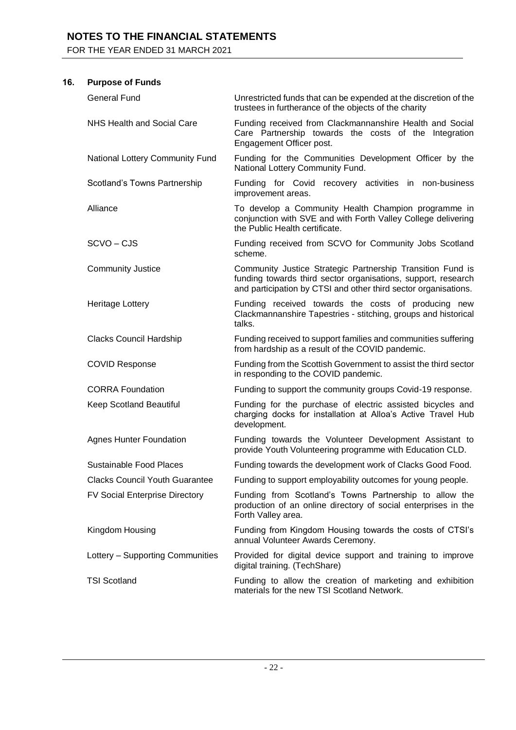FOR THE YEAR ENDED 31 MARCH 2021

## **16. Purpose of Funds**

| <b>General Fund</b>                   | Unrestricted funds that can be expended at the discretion of the<br>trustees in furtherance of the objects of the charity                                                                      |
|---------------------------------------|------------------------------------------------------------------------------------------------------------------------------------------------------------------------------------------------|
| <b>NHS Health and Social Care</b>     | Funding received from Clackmannanshire Health and Social<br>Care Partnership towards the costs of the Integration<br>Engagement Officer post.                                                  |
| National Lottery Community Fund       | Funding for the Communities Development Officer by the<br>National Lottery Community Fund.                                                                                                     |
| Scotland's Towns Partnership          | Funding for Covid recovery activities in non-business<br>improvement areas.                                                                                                                    |
| Alliance                              | To develop a Community Health Champion programme in<br>conjunction with SVE and with Forth Valley College delivering<br>the Public Health certificate.                                         |
| SCVO-CJS                              | Funding received from SCVO for Community Jobs Scotland<br>scheme.                                                                                                                              |
| <b>Community Justice</b>              | Community Justice Strategic Partnership Transition Fund is<br>funding towards third sector organisations, support, research<br>and participation by CTSI and other third sector organisations. |
| Heritage Lottery                      | Funding received towards the costs of producing new<br>Clackmannanshire Tapestries - stitching, groups and historical<br>talks.                                                                |
| Clacks Council Hardship               | Funding received to support families and communities suffering<br>from hardship as a result of the COVID pandemic.                                                                             |
| <b>COVID Response</b>                 | Funding from the Scottish Government to assist the third sector<br>in responding to the COVID pandemic.                                                                                        |
| <b>CORRA Foundation</b>               | Funding to support the community groups Covid-19 response.                                                                                                                                     |
| Keep Scotland Beautiful               | Funding for the purchase of electric assisted bicycles and<br>charging docks for installation at Alloa's Active Travel Hub<br>development.                                                     |
| <b>Agnes Hunter Foundation</b>        | Funding towards the Volunteer Development Assistant to<br>provide Youth Volunteering programme with Education CLD.                                                                             |
| Sustainable Food Places               | Funding towards the development work of Clacks Good Food.                                                                                                                                      |
| <b>Clacks Council Youth Guarantee</b> | Funding to support employability outcomes for young people.                                                                                                                                    |
| <b>FV Social Enterprise Directory</b> | Funding from Scotland's Towns Partnership to allow the<br>production of an online directory of social enterprises in the<br>Forth Valley area.                                                 |
| Kingdom Housing                       | Funding from Kingdom Housing towards the costs of CTSI's<br>annual Volunteer Awards Ceremony.                                                                                                  |
| Lottery - Supporting Communities      | Provided for digital device support and training to improve<br>digital training. (TechShare)                                                                                                   |
| <b>TSI Scotland</b>                   | Funding to allow the creation of marketing and exhibition<br>materials for the new TSI Scotland Network.                                                                                       |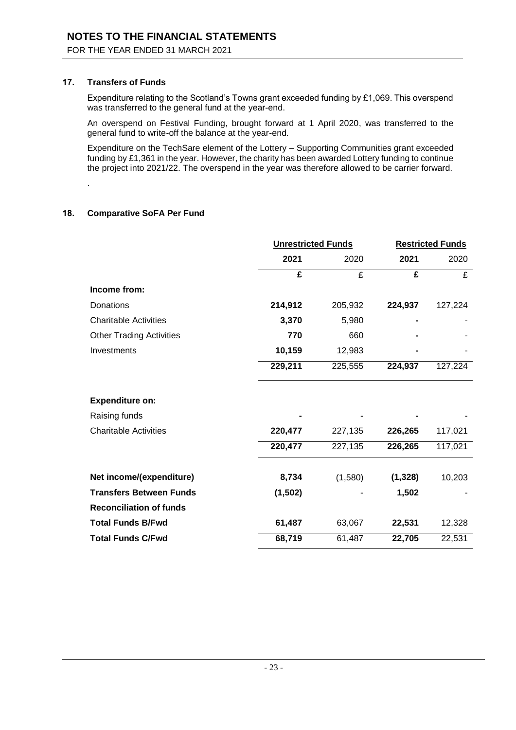### **17. Transfers of Funds**

Expenditure relating to the Scotland's Towns grant exceeded funding by £1,069. This overspend was transferred to the general fund at the year-end.

An overspend on Festival Funding, brought forward at 1 April 2020, was transferred to the general fund to write-off the balance at the year-end.

Expenditure on the TechSare element of the Lottery – Supporting Communities grant exceeded funding by £1,361 in the year. However, the charity has been awarded Lottery funding to continue the project into 2021/22. The overspend in the year was therefore allowed to be carrier forward.

.

## **18. Comparative SoFA Per Fund**

|                                 | <b>Unrestricted Funds</b> |         | <b>Restricted Funds</b> |         |
|---------------------------------|---------------------------|---------|-------------------------|---------|
|                                 | 2021                      | 2020    | 2021                    | 2020    |
|                                 | £                         | £       | £                       | £       |
| Income from:                    |                           |         |                         |         |
| Donations                       | 214,912                   | 205,932 | 224,937                 | 127,224 |
| <b>Charitable Activities</b>    | 3,370                     | 5,980   |                         |         |
| <b>Other Trading Activities</b> | 770                       | 660     |                         |         |
| Investments                     | 10,159                    | 12,983  |                         |         |
|                                 | 229,211                   | 225,555 | 224,937                 | 127,224 |
| <b>Expenditure on:</b>          |                           |         |                         |         |
| Raising funds                   |                           |         |                         |         |
| <b>Charitable Activities</b>    | 220,477                   | 227,135 | 226,265                 | 117,021 |
|                                 | 220,477                   | 227,135 | 226,265                 | 117,021 |
| Net income/(expenditure)        | 8,734                     | (1,580) | (1, 328)                | 10,203  |
| <b>Transfers Between Funds</b>  | (1,502)                   |         | 1,502                   |         |
| <b>Reconciliation of funds</b>  |                           |         |                         |         |
| <b>Total Funds B/Fwd</b>        | 61,487                    | 63,067  | 22,531                  | 12,328  |
| <b>Total Funds C/Fwd</b>        | 68,719                    | 61,487  | 22,705                  | 22,531  |